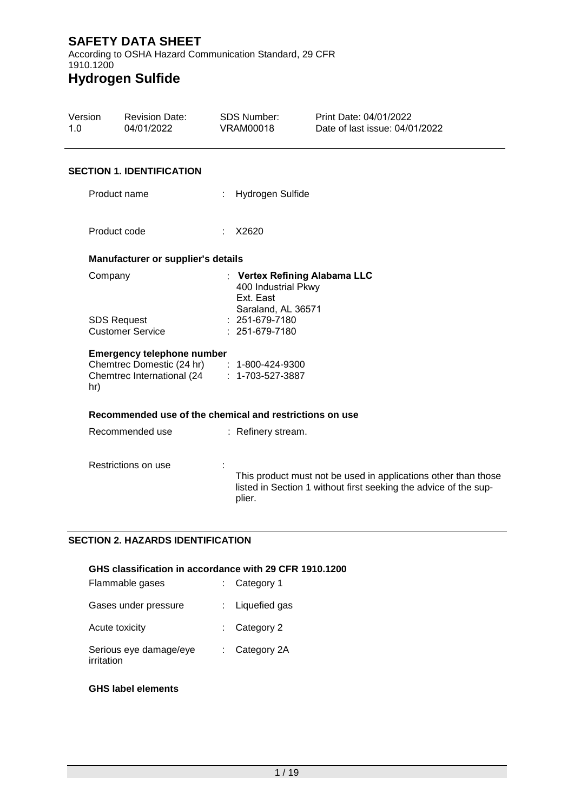1.0

According to OSHA Hazard Communication Standard, 29 CFR 1910.1200 **Hydrogen Sulfide**

#### Version Revision Date: 04/01/2022 SDS Number: VRAM00018 Print Date: 04/01/2022 Date of last issue: 04/01/2022 **SECTION 1. IDENTIFICATION** Product name : Hydrogen Sulfide Product code : X2620 **Manufacturer or supplier's details** Company : **Vertex Refining Alabama LLC** 400 Industrial Pkwy Ext. East Saraland, AL 36571 SDS Request Customer Service : 251-679-7180 : 251-679-7180 **Emergency telephone number** Chemtrec Domestic (24 hr) : 1-800-424-9300 Chemtrec International (24 hr) : 1-703-527-3887 **Recommended use of the chemical and restrictions on use** Recommended use : Refinery stream.

Restrictions on use : This product must not be used in applications other than those listed in Section 1 without first seeking the advice of the supplier.

### **SECTION 2. HAZARDS IDENTIFICATION**

### **GHS classification in accordance with 29 CFR 1910.1200**

| Flammable gases                      | : Category 1             |
|--------------------------------------|--------------------------|
| Gases under pressure                 | $:$ Liquefied gas        |
| Acute toxicity                       | $\therefore$ Category 2  |
| Serious eye damage/eye<br>irritation | $\therefore$ Category 2A |

### **GHS label elements**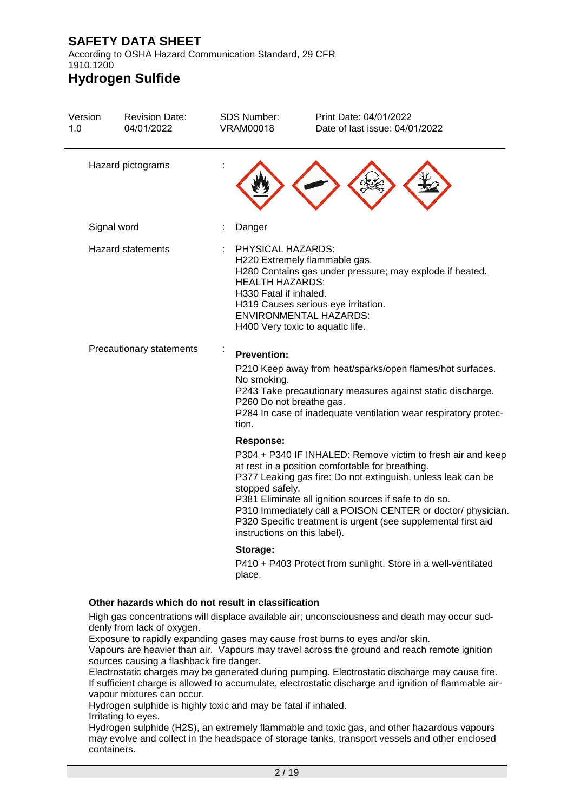According to OSHA Hazard Communication Standard, 29 CFR 1910.1200

# **Hydrogen Sulfide**

| Hazard pictograms<br>Signal word<br><b>Hazard statements</b><br>Precautionary statements |                                                                                                           |                                                                                                                                                                                                                                                                                                                                                                          |
|------------------------------------------------------------------------------------------|-----------------------------------------------------------------------------------------------------------|--------------------------------------------------------------------------------------------------------------------------------------------------------------------------------------------------------------------------------------------------------------------------------------------------------------------------------------------------------------------------|
|                                                                                          |                                                                                                           |                                                                                                                                                                                                                                                                                                                                                                          |
|                                                                                          | Danger<br>÷                                                                                               |                                                                                                                                                                                                                                                                                                                                                                          |
|                                                                                          | PHYSICAL HAZARDS:<br><b>HEALTH HAZARDS:</b><br>H330 Fatal if inhaled.<br>H400 Very toxic to aquatic life. | H220 Extremely flammable gas.<br>H280 Contains gas under pressure; may explode if heated.<br>H319 Causes serious eye irritation.<br><b>ENVIRONMENTAL HAZARDS:</b>                                                                                                                                                                                                        |
|                                                                                          | ÷<br><b>Prevention:</b><br>No smoking.<br>P260 Do not breathe gas.<br>tion.                               | P210 Keep away from heat/sparks/open flames/hot surfaces.<br>P243 Take precautionary measures against static discharge.<br>P284 In case of inadequate ventilation wear respiratory protec-                                                                                                                                                                               |
|                                                                                          | <b>Response:</b><br>stopped safely.<br>instructions on this label).                                       | P304 + P340 IF INHALED: Remove victim to fresh air and keep<br>at rest in a position comfortable for breathing.<br>P377 Leaking gas fire: Do not extinguish, unless leak can be<br>P381 Eliminate all ignition sources if safe to do so.<br>P310 Immediately call a POISON CENTER or doctor/ physician.<br>P320 Specific treatment is urgent (see supplemental first aid |
| Other hazards which do not result in classification                                      | Storage:<br>place.                                                                                        | P410 + P403 Protect from sunlight. Store in a well-ventilated                                                                                                                                                                                                                                                                                                            |

High gas concentrations will displace available air; unconsciousness and death may occur suddenly from lack of oxygen.

Exposure to rapidly expanding gases may cause frost burns to eyes and/or skin.

Vapours are heavier than air. Vapours may travel across the ground and reach remote ignition sources causing a flashback fire danger.

Electrostatic charges may be generated during pumping. Electrostatic discharge may cause fire. If sufficient charge is allowed to accumulate, electrostatic discharge and ignition of flammable airvapour mixtures can occur.

Hydrogen sulphide is highly toxic and may be fatal if inhaled.

Irritating to eyes.

Hydrogen sulphide (H2S), an extremely flammable and toxic gas, and other hazardous vapours may evolve and collect in the headspace of storage tanks, transport vessels and other enclosed containers.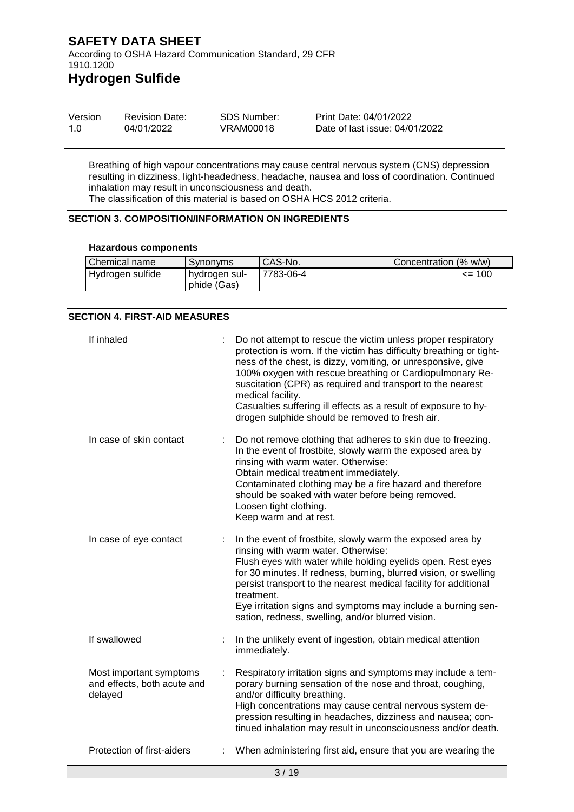According to OSHA Hazard Communication Standard, 29 CFR 1910.1200

# **Hydrogen Sulfide**

| Version | <b>Revision Date:</b> | SDS Number: | Print Date: 04/01/2022         |
|---------|-----------------------|-------------|--------------------------------|
| 1.0     | 04/01/2022            | VRAM00018   | Date of last issue: 04/01/2022 |

Breathing of high vapour concentrations may cause central nervous system (CNS) depression resulting in dizziness, light-headedness, headache, nausea and loss of coordination. Continued inhalation may result in unconsciousness and death. The classification of this material is based on OSHA HCS 2012 criteria.

### **SECTION 3. COMPOSITION/INFORMATION ON INGREDIENTS**

#### **Hazardous components**

| Chemical name    | Synonyms                            | CAS-No.   | Concentration (% w/w) |
|------------------|-------------------------------------|-----------|-----------------------|
| Hydrogen sulfide | <b>hydrogen sul-</b><br>phide (Gas) | 7783-06-4 | $\leq$ 100            |

#### **SECTION 4. FIRST-AID MEASURES**

| If inhaled                                                        |    | Do not attempt to rescue the victim unless proper respiratory<br>protection is worn. If the victim has difficulty breathing or tight-<br>ness of the chest, is dizzy, vomiting, or unresponsive, give<br>100% oxygen with rescue breathing or Cardiopulmonary Re-<br>suscitation (CPR) as required and transport to the nearest<br>medical facility.<br>Casualties suffering ill effects as a result of exposure to hy-<br>drogen sulphide should be removed to fresh air. |
|-------------------------------------------------------------------|----|----------------------------------------------------------------------------------------------------------------------------------------------------------------------------------------------------------------------------------------------------------------------------------------------------------------------------------------------------------------------------------------------------------------------------------------------------------------------------|
| In case of skin contact                                           |    | Do not remove clothing that adheres to skin due to freezing.<br>In the event of frostbite, slowly warm the exposed area by<br>rinsing with warm water. Otherwise:<br>Obtain medical treatment immediately.<br>Contaminated clothing may be a fire hazard and therefore<br>should be soaked with water before being removed.<br>Loosen tight clothing.<br>Keep warm and at rest.                                                                                            |
| In case of eye contact                                            |    | In the event of frostbite, slowly warm the exposed area by<br>rinsing with warm water. Otherwise:<br>Flush eyes with water while holding eyelids open. Rest eyes<br>for 30 minutes. If redness, burning, blurred vision, or swelling<br>persist transport to the nearest medical facility for additional<br>treatment.<br>Eye irritation signs and symptoms may include a burning sen-<br>sation, redness, swelling, and/or blurred vision.                                |
| If swallowed                                                      |    | In the unlikely event of ingestion, obtain medical attention<br>immediately.                                                                                                                                                                                                                                                                                                                                                                                               |
| Most important symptoms<br>and effects, both acute and<br>delayed | ÷. | Respiratory irritation signs and symptoms may include a tem-<br>porary burning sensation of the nose and throat, coughing,<br>and/or difficulty breathing.<br>High concentrations may cause central nervous system de-<br>pression resulting in headaches, dizziness and nausea; con-<br>tinued inhalation may result in unconsciousness and/or death.                                                                                                                     |
| Protection of first-aiders                                        |    | When administering first aid, ensure that you are wearing the                                                                                                                                                                                                                                                                                                                                                                                                              |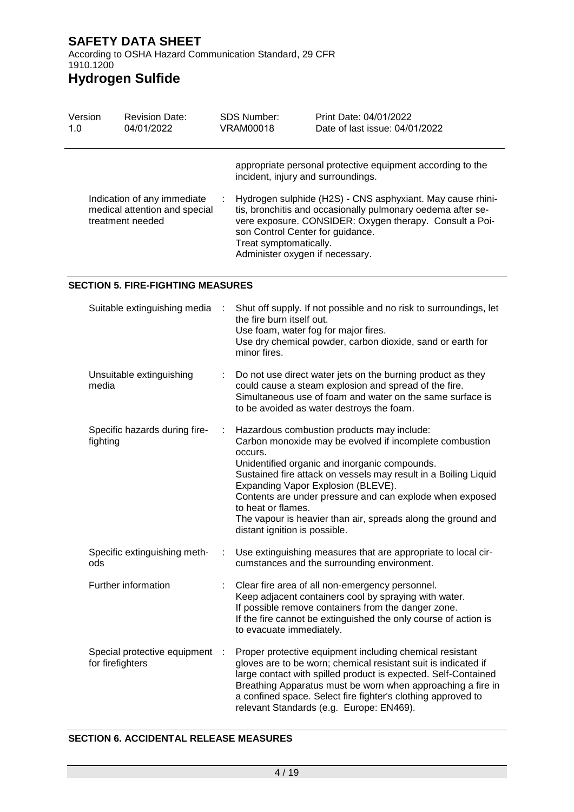According to OSHA Hazard Communication Standard, 29 CFR 1910.1200

# **Hydrogen Sulfide**

| Version<br>1.0 | <b>Revision Date:</b><br>04/01/2022                                              | <b>SDS Number:</b><br>VRAM00018                                                                                                     | Print Date: 04/01/2022<br>Date of last issue: 04/01/2022                                                                                                                                                                                           |
|----------------|----------------------------------------------------------------------------------|-------------------------------------------------------------------------------------------------------------------------------------|----------------------------------------------------------------------------------------------------------------------------------------------------------------------------------------------------------------------------------------------------|
|                | Indication of any immediate<br>medical attention and special<br>treatment needed | incident, injury and surroundings.<br>son Control Center for guidance.<br>Treat symptomatically.<br>Administer oxygen if necessary. | appropriate personal protective equipment according to the<br>Hydrogen sulphide (H2S) - CNS asphyxiant. May cause rhini-<br>tis, bronchitis and occasionally pulmonary oedema after se-<br>vere exposure. CONSIDER: Oxygen therapy. Consult a Poi- |
|                |                                                                                  |                                                                                                                                     |                                                                                                                                                                                                                                                    |

#### **SECTION 5. FIRE-FIGHTING MEASURES**

| Suitable extinguishing media                     |      | Shut off supply. If not possible and no risk to surroundings, let<br>the fire burn itself out.<br>Use foam, water fog for major fires.<br>Use dry chemical powder, carbon dioxide, sand or earth for<br>minor fires.                                                                                                                                                                                                                                          |
|--------------------------------------------------|------|---------------------------------------------------------------------------------------------------------------------------------------------------------------------------------------------------------------------------------------------------------------------------------------------------------------------------------------------------------------------------------------------------------------------------------------------------------------|
| Unsuitable extinguishing<br>media                |      | Do not use direct water jets on the burning product as they<br>could cause a steam explosion and spread of the fire.<br>Simultaneous use of foam and water on the same surface is<br>to be avoided as water destroys the foam.                                                                                                                                                                                                                                |
| Specific hazards during fire-<br>fighting        | ÷    | Hazardous combustion products may include:<br>Carbon monoxide may be evolved if incomplete combustion<br>occurs.<br>Unidentified organic and inorganic compounds.<br>Sustained fire attack on vessels may result in a Boiling Liquid<br>Expanding Vapor Explosion (BLEVE).<br>Contents are under pressure and can explode when exposed<br>to heat or flames.<br>The vapour is heavier than air, spreads along the ground and<br>distant ignition is possible. |
| Specific extinguishing meth-<br>ods              |      | Use extinguishing measures that are appropriate to local cir-<br>cumstances and the surrounding environment.                                                                                                                                                                                                                                                                                                                                                  |
| Further information                              |      | Clear fire area of all non-emergency personnel.<br>Keep adjacent containers cool by spraying with water.<br>If possible remove containers from the danger zone.<br>If the fire cannot be extinguished the only course of action is<br>to evacuate immediately.                                                                                                                                                                                                |
| Special protective equipment<br>for firefighters | - 11 | Proper protective equipment including chemical resistant<br>gloves are to be worn; chemical resistant suit is indicated if<br>large contact with spilled product is expected. Self-Contained<br>Breathing Apparatus must be worn when approaching a fire in<br>a confined space. Select fire fighter's clothing approved to<br>relevant Standards (e.g. Europe: EN469).                                                                                       |

#### **SECTION 6. ACCIDENTAL RELEASE MEASURES**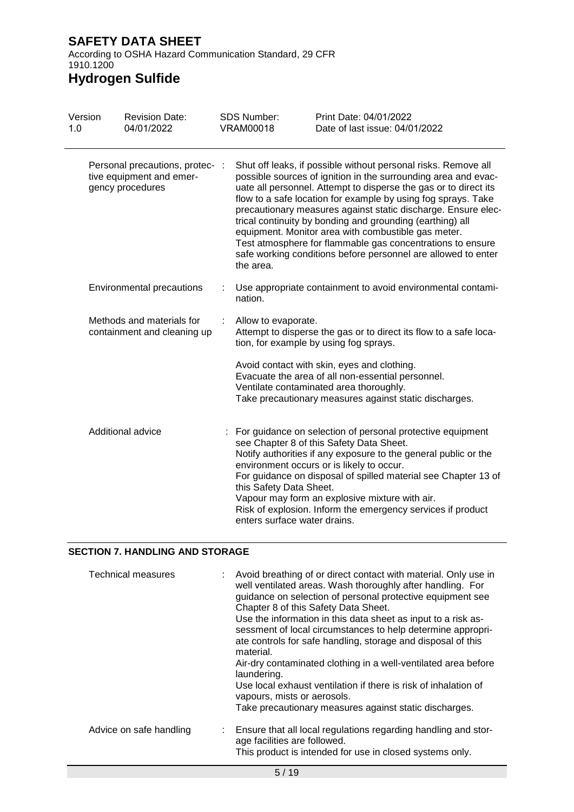According to OSHA Hazard Communication Standard, 29 CFR 1910.1200

# **Hydrogen Sulfide**

| Version<br>1.0                                                                  |  | <b>Revision Date:</b><br>04/01/2022                      | <b>SDS Number:</b><br><b>VRAM00018</b>                                                                                                                                                                                                                                                                                                                                                                                                                                                                                                                                                    | Print Date: 04/01/2022<br>Date of last issue: 04/01/2022                                                                                                                                                                                                                                                                                                                                                    |
|---------------------------------------------------------------------------------|--|----------------------------------------------------------|-------------------------------------------------------------------------------------------------------------------------------------------------------------------------------------------------------------------------------------------------------------------------------------------------------------------------------------------------------------------------------------------------------------------------------------------------------------------------------------------------------------------------------------------------------------------------------------------|-------------------------------------------------------------------------------------------------------------------------------------------------------------------------------------------------------------------------------------------------------------------------------------------------------------------------------------------------------------------------------------------------------------|
| Personal precautions, protec- :<br>tive equipment and emer-<br>gency procedures |  | the area.                                                | Shut off leaks, if possible without personal risks. Remove all<br>possible sources of ignition in the surrounding area and evac-<br>uate all personnel. Attempt to disperse the gas or to direct its<br>flow to a safe location for example by using fog sprays. Take<br>precautionary measures against static discharge. Ensure elec-<br>trical continuity by bonding and grounding (earthing) all<br>equipment. Monitor area with combustible gas meter.<br>Test atmosphere for flammable gas concentrations to ensure<br>safe working conditions before personnel are allowed to enter |                                                                                                                                                                                                                                                                                                                                                                                                             |
|                                                                                 |  | <b>Environmental precautions</b>                         | nation.                                                                                                                                                                                                                                                                                                                                                                                                                                                                                                                                                                                   | Use appropriate containment to avoid environmental contami-                                                                                                                                                                                                                                                                                                                                                 |
|                                                                                 |  | Methods and materials for<br>containment and cleaning up | Allow to evaporate.                                                                                                                                                                                                                                                                                                                                                                                                                                                                                                                                                                       | Attempt to disperse the gas or to direct its flow to a safe loca-<br>tion, for example by using fog sprays.                                                                                                                                                                                                                                                                                                 |
|                                                                                 |  |                                                          |                                                                                                                                                                                                                                                                                                                                                                                                                                                                                                                                                                                           | Avoid contact with skin, eyes and clothing.<br>Evacuate the area of all non-essential personnel.<br>Ventilate contaminated area thoroughly.<br>Take precautionary measures against static discharges.                                                                                                                                                                                                       |
|                                                                                 |  | Additional advice                                        | this Safety Data Sheet.<br>enters surface water drains.                                                                                                                                                                                                                                                                                                                                                                                                                                                                                                                                   | : For guidance on selection of personal protective equipment<br>see Chapter 8 of this Safety Data Sheet.<br>Notify authorities if any exposure to the general public or the<br>environment occurs or is likely to occur.<br>For guidance on disposal of spilled material see Chapter 13 of<br>Vapour may form an explosive mixture with air.<br>Risk of explosion. Inform the emergency services if product |

### **SECTION 7. HANDLING AND STORAGE**

| <b>Technical measures</b> | : Avoid breathing of or direct contact with material. Only use in<br>well ventilated areas. Wash thoroughly after handling. For<br>guidance on selection of personal protective equipment see<br>Chapter 8 of this Safety Data Sheet.<br>Use the information in this data sheet as input to a risk as-<br>sessment of local circumstances to help determine appropri-<br>ate controls for safe handling, storage and disposal of this<br>material.<br>Air-dry contaminated clothing in a well-ventilated area before<br>laundering.<br>Use local exhaust ventilation if there is risk of inhalation of<br>vapours, mists or aerosols.<br>Take precautionary measures against static discharges. |
|---------------------------|-------------------------------------------------------------------------------------------------------------------------------------------------------------------------------------------------------------------------------------------------------------------------------------------------------------------------------------------------------------------------------------------------------------------------------------------------------------------------------------------------------------------------------------------------------------------------------------------------------------------------------------------------------------------------------------------------|
| Advice on safe handling   | : Ensure that all local regulations regarding handling and stor-<br>age facilities are followed.<br>This product is intended for use in closed systems only.                                                                                                                                                                                                                                                                                                                                                                                                                                                                                                                                    |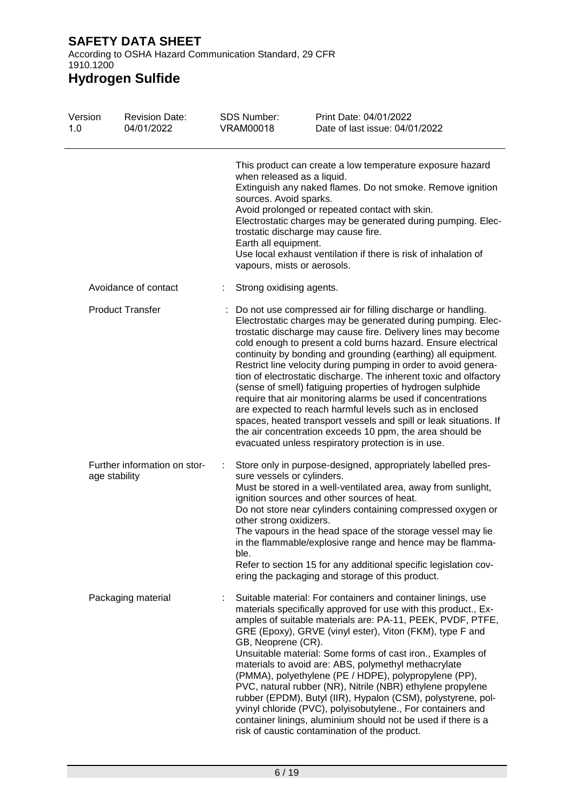According to OSHA Hazard Communication Standard, 29 CFR 1910.1200

| Version<br>1.0 | <b>Revision Date:</b><br>04/01/2022           | <b>SDS Number:</b><br><b>VRAM00018</b>         | Print Date: 04/01/2022<br>Date of last issue: 04/01/2022                                                                                                                                                                                                                                                                                                                                                                                                                                                                                                                                                                                                                                                                                                                                                                                                 |
|----------------|-----------------------------------------------|------------------------------------------------|----------------------------------------------------------------------------------------------------------------------------------------------------------------------------------------------------------------------------------------------------------------------------------------------------------------------------------------------------------------------------------------------------------------------------------------------------------------------------------------------------------------------------------------------------------------------------------------------------------------------------------------------------------------------------------------------------------------------------------------------------------------------------------------------------------------------------------------------------------|
|                |                                               | sources. Avoid sparks.<br>Earth all equipment. | This product can create a low temperature exposure hazard<br>when released as a liquid.<br>Extinguish any naked flames. Do not smoke. Remove ignition<br>Avoid prolonged or repeated contact with skin.<br>Electrostatic charges may be generated during pumping. Elec-<br>trostatic discharge may cause fire.<br>Use local exhaust ventilation if there is risk of inhalation of<br>vapours, mists or aerosols.                                                                                                                                                                                                                                                                                                                                                                                                                                         |
|                | Avoidance of contact                          | ÷                                              | Strong oxidising agents.                                                                                                                                                                                                                                                                                                                                                                                                                                                                                                                                                                                                                                                                                                                                                                                                                                 |
|                | <b>Product Transfer</b>                       |                                                | Do not use compressed air for filling discharge or handling.<br>Electrostatic charges may be generated during pumping. Elec-<br>trostatic discharge may cause fire. Delivery lines may become<br>cold enough to present a cold burns hazard. Ensure electrical<br>continuity by bonding and grounding (earthing) all equipment.<br>Restrict line velocity during pumping in order to avoid genera-<br>tion of electrostatic discharge. The inherent toxic and olfactory<br>(sense of smell) fatiguing properties of hydrogen sulphide<br>require that air monitoring alarms be used if concentrations<br>are expected to reach harmful levels such as in enclosed<br>spaces, heated transport vessels and spill or leak situations. If<br>the air concentration exceeds 10 ppm, the area should be<br>evacuated unless respiratory protection is in use. |
|                | Further information on stor-<br>age stability | other strong oxidizers.<br>ble.                | Store only in purpose-designed, appropriately labelled pres-<br>sure vessels or cylinders.<br>Must be stored in a well-ventilated area, away from sunlight,<br>ignition sources and other sources of heat.<br>Do not store near cylinders containing compressed oxygen or<br>The vapours in the head space of the storage vessel may lie<br>in the flammable/explosive range and hence may be flamma-<br>Refer to section 15 for any additional specific legislation cov-<br>ering the packaging and storage of this product.                                                                                                                                                                                                                                                                                                                            |
|                | Packaging material                            | GB, Neoprene (CR).                             | Suitable material: For containers and container linings, use<br>materials specifically approved for use with this product., Ex-<br>amples of suitable materials are: PA-11, PEEK, PVDF, PTFE,<br>GRE (Epoxy), GRVE (vinyl ester), Viton (FKM), type F and<br>Unsuitable material: Some forms of cast iron., Examples of<br>materials to avoid are: ABS, polymethyl methacrylate<br>(PMMA), polyethylene (PE / HDPE), polypropylene (PP),<br>PVC, natural rubber (NR), Nitrile (NBR) ethylene propylene<br>rubber (EPDM), Butyl (IIR), Hypalon (CSM), polystyrene, pol-<br>yvinyl chloride (PVC), polyisobutylene., For containers and<br>container linings, aluminium should not be used if there is a<br>risk of caustic contamination of the product.                                                                                                  |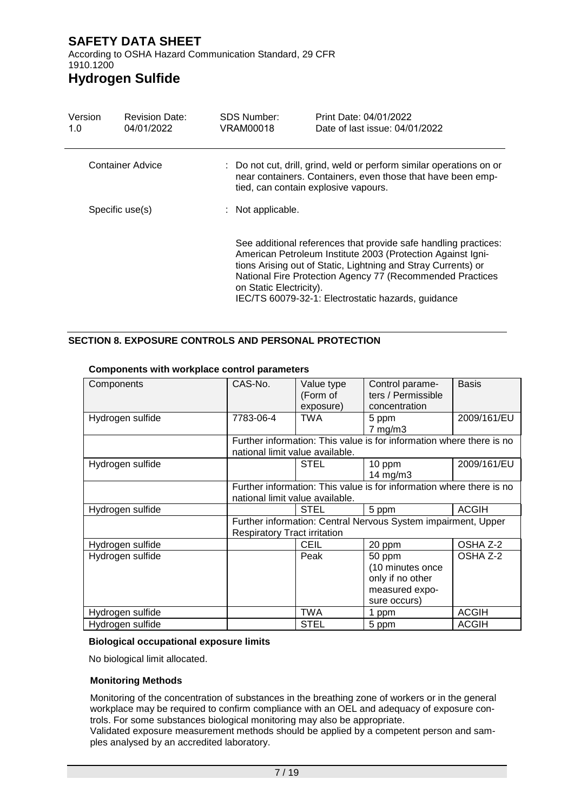According to OSHA Hazard Communication Standard, 29 CFR 1910.1200

# **Hydrogen Sulfide**

| Version<br>1.0          | <b>Revision Date:</b><br>04/01/2022 | <b>SDS Number:</b><br>VRAM00018 | Print Date: 04/01/2022<br>Date of last issue: 04/01/2022                                                                                                                                                                                                                                                           |  |  |  |
|-------------------------|-------------------------------------|---------------------------------|--------------------------------------------------------------------------------------------------------------------------------------------------------------------------------------------------------------------------------------------------------------------------------------------------------------------|--|--|--|
| <b>Container Advice</b> |                                     |                                 | : Do not cut, drill, grind, weld or perform similar operations on or<br>near containers. Containers, even those that have been emp-<br>tied, can contain explosive vapours.                                                                                                                                        |  |  |  |
|                         | Specific use(s)                     | : Not applicable.               |                                                                                                                                                                                                                                                                                                                    |  |  |  |
|                         |                                     | on Static Electricity).         | See additional references that provide safe handling practices:<br>American Petroleum Institute 2003 (Protection Against Igni-<br>tions Arising out of Static, Lightning and Stray Currents) or<br>National Fire Protection Agency 77 (Recommended Practices<br>IEC/TS 60079-32-1: Electrostatic hazards, guidance |  |  |  |

#### **SECTION 8. EXPOSURE CONTROLS AND PERSONAL PROTECTION**

| Components       | CAS-No.                             | Value type<br>(Form of | Control parame-<br>ters / Permissible                                            | Basis        |
|------------------|-------------------------------------|------------------------|----------------------------------------------------------------------------------|--------------|
|                  |                                     | exposure)              | concentration                                                                    |              |
| Hydrogen sulfide | 7783-06-4                           | <b>TWA</b>             | 5 ppm<br>$7 \text{ mg/m}$ 3                                                      | 2009/161/EU  |
|                  | national limit value available.     |                        | Further information: This value is for information where there is no             |              |
| Hydrogen sulfide |                                     | <b>STEL</b>            | 10 ppm<br>14 mg/m3                                                               | 2009/161/EU  |
|                  | national limit value available.     |                        | Further information: This value is for information where there is no             |              |
| Hydrogen sulfide |                                     | <b>STEL</b>            | 5 ppm                                                                            | <b>ACGIH</b> |
|                  | <b>Respiratory Tract irritation</b> |                        | Further information: Central Nervous System impairment, Upper                    |              |
| Hydrogen sulfide |                                     | <b>CEIL</b>            | 20 ppm                                                                           | OSHA Z-2     |
| Hydrogen sulfide |                                     | Peak                   | 50 ppm<br>(10 minutes once<br>only if no other<br>measured expo-<br>sure occurs) | OSHA Z-2     |
| Hydrogen sulfide |                                     | TWA                    | 1 ppm                                                                            | <b>ACGIH</b> |
| Hydrogen sulfide |                                     | <b>STEL</b>            | 5 ppm                                                                            | <b>ACGIH</b> |

#### **Components with workplace control parameters**

#### **Biological occupational exposure limits**

No biological limit allocated.

#### **Monitoring Methods**

Monitoring of the concentration of substances in the breathing zone of workers or in the general workplace may be required to confirm compliance with an OEL and adequacy of exposure controls. For some substances biological monitoring may also be appropriate.

Validated exposure measurement methods should be applied by a competent person and samples analysed by an accredited laboratory.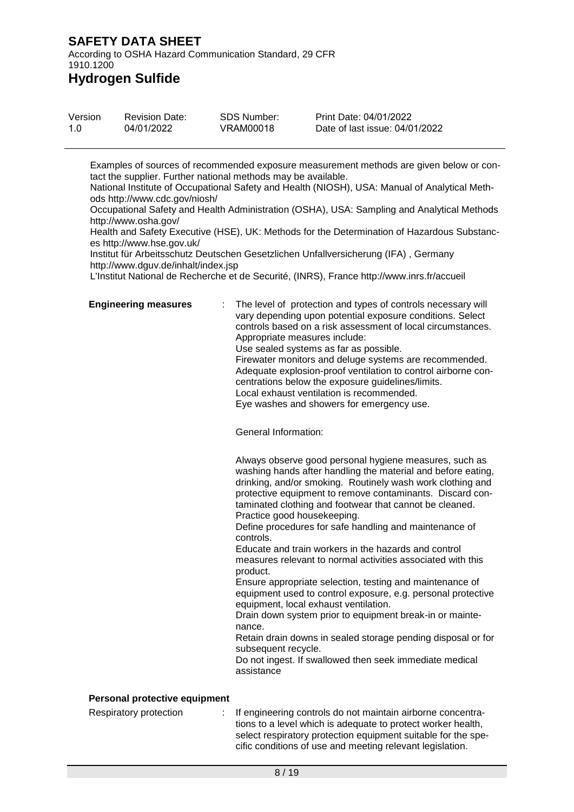According to OSHA Hazard Communication Standard, 29 CFR 1910.1200

### **Hydrogen Sulfide**

| Version | <b>Revision Date:</b> | <b>SDS Number:</b> | Print Date: 04/01/2022         |
|---------|-----------------------|--------------------|--------------------------------|
| 1.O     | 04/01/2022            | VRAM00018          | Date of last issue: 04/01/2022 |

Examples of sources of recommended exposure measurement methods are given below or contact the supplier. Further national methods may be available.

National Institute of Occupational Safety and Health (NIOSH), USA: Manual of Analytical Methods http://www.cdc.gov/niosh/

Occupational Safety and Health Administration (OSHA), USA: Sampling and Analytical Methods http://www.osha.gov/

Health and Safety Executive (HSE), UK: Methods for the Determination of Hazardous Substances http://www.hse.gov.uk/

Institut für Arbeitsschutz Deutschen Gesetzlichen Unfallversicherung (IFA) , Germany http://www.dguv.de/inhalt/index.jsp

L'Institut National de Recherche et de Securité, (INRS), France http://www.inrs.fr/accueil

**Engineering measures** : The level of protection and types of controls necessary will vary depending upon potential exposure conditions. Select controls based on a risk assessment of local circumstances. Appropriate measures include: Use sealed systems as far as possible. Firewater monitors and deluge systems are recommended. Adequate explosion-proof ventilation to control airborne concentrations below the exposure guidelines/limits. Local exhaust ventilation is recommended.

Eye washes and showers for emergency use.

General Information:

Always observe good personal hygiene measures, such as washing hands after handling the material and before eating, drinking, and/or smoking. Routinely wash work clothing and protective equipment to remove contaminants. Discard contaminated clothing and footwear that cannot be cleaned. Practice good housekeeping.

Define procedures for safe handling and maintenance of controls.

Educate and train workers in the hazards and control measures relevant to normal activities associated with this product.

Ensure appropriate selection, testing and maintenance of equipment used to control exposure, e.g. personal protective equipment, local exhaust ventilation.

Drain down system prior to equipment break-in or maintenance.

Retain drain downs in sealed storage pending disposal or for subsequent recycle.

Do not ingest. If swallowed then seek immediate medical assistance

#### **Personal protective equipment**

Respiratory protection : If engineering controls do not maintain airborne concentrations to a level which is adequate to protect worker health, select respiratory protection equipment suitable for the specific conditions of use and meeting relevant legislation.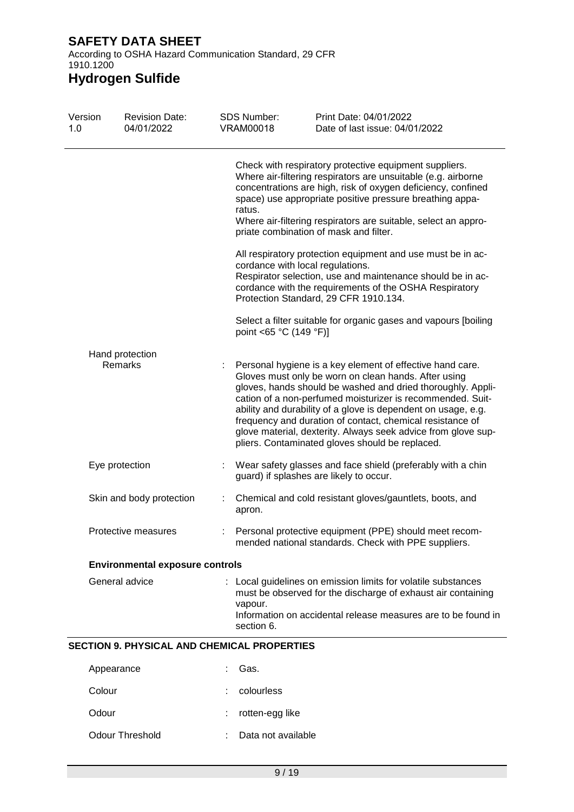According to OSHA Hazard Communication Standard, 29 CFR 1910.1200

| Version<br>1.0 | <b>Revision Date:</b><br>04/01/2022                | <b>SDS Number:</b><br><b>VRAM00018</b> | Print Date: 04/01/2022<br>Date of last issue: 04/01/2022                                                                                                                                                                                                                                                                                                                                                                                                                                         |
|----------------|----------------------------------------------------|----------------------------------------|--------------------------------------------------------------------------------------------------------------------------------------------------------------------------------------------------------------------------------------------------------------------------------------------------------------------------------------------------------------------------------------------------------------------------------------------------------------------------------------------------|
|                |                                                    | ratus.                                 | Check with respiratory protective equipment suppliers.<br>Where air-filtering respirators are unsuitable (e.g. airborne<br>concentrations are high, risk of oxygen deficiency, confined<br>space) use appropriate positive pressure breathing appa-<br>Where air-filtering respirators are suitable, select an appro-<br>priate combination of mask and filter.                                                                                                                                  |
|                |                                                    |                                        | All respiratory protection equipment and use must be in ac-<br>cordance with local regulations.<br>Respirator selection, use and maintenance should be in ac-<br>cordance with the requirements of the OSHA Respiratory<br>Protection Standard, 29 CFR 1910.134.                                                                                                                                                                                                                                 |
|                |                                                    |                                        | Select a filter suitable for organic gases and vapours [boiling<br>point <65 °C (149 °F)]                                                                                                                                                                                                                                                                                                                                                                                                        |
|                | Hand protection                                    |                                        |                                                                                                                                                                                                                                                                                                                                                                                                                                                                                                  |
|                | <b>Remarks</b>                                     |                                        | Personal hygiene is a key element of effective hand care.<br>Gloves must only be worn on clean hands. After using<br>gloves, hands should be washed and dried thoroughly. Appli-<br>cation of a non-perfumed moisturizer is recommended. Suit-<br>ability and durability of a glove is dependent on usage, e.g.<br>frequency and duration of contact, chemical resistance of<br>glove material, dexterity. Always seek advice from glove sup-<br>pliers. Contaminated gloves should be replaced. |
|                | Eye protection                                     |                                        | Wear safety glasses and face shield (preferably with a chin<br>guard) if splashes are likely to occur.                                                                                                                                                                                                                                                                                                                                                                                           |
|                | Skin and body protection                           | t<br>apron.                            | Chemical and cold resistant gloves/gauntlets, boots, and                                                                                                                                                                                                                                                                                                                                                                                                                                         |
|                | Protective measures                                |                                        | Personal protective equipment (PPE) should meet recom-<br>mended national standards. Check with PPE suppliers.                                                                                                                                                                                                                                                                                                                                                                                   |
|                | <b>Environmental exposure controls</b>             |                                        |                                                                                                                                                                                                                                                                                                                                                                                                                                                                                                  |
|                | General advice                                     | vapour.<br>section 6.                  | Local guidelines on emission limits for volatile substances<br>must be observed for the discharge of exhaust air containing<br>Information on accidental release measures are to be found in                                                                                                                                                                                                                                                                                                     |
|                | <b>SECTION 9. PHYSICAL AND CHEMICAL PROPERTIES</b> |                                        |                                                                                                                                                                                                                                                                                                                                                                                                                                                                                                  |
|                | Appearance                                         | Gas.                                   |                                                                                                                                                                                                                                                                                                                                                                                                                                                                                                  |
| Colour         |                                                    | colourless                             |                                                                                                                                                                                                                                                                                                                                                                                                                                                                                                  |

- Odour : rotten-egg like
- Odour Threshold : Data not available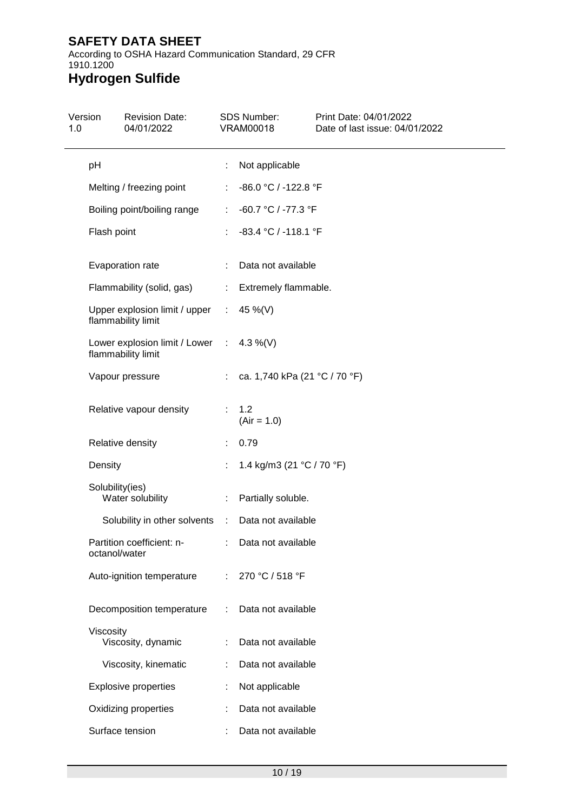According to OSHA Hazard Communication Standard, 29 CFR 1910.1200

| 1.0 | Version         | <b>Revision Date:</b><br>04/01/2022                            |                       | <b>SDS Number:</b><br><b>VRAM00018</b> | Print Date: 04/01/2022<br>Date of last issue: 04/01/2022 |
|-----|-----------------|----------------------------------------------------------------|-----------------------|----------------------------------------|----------------------------------------------------------|
|     | pH              |                                                                | ÷                     | Not applicable                         |                                                          |
|     |                 | Melting / freezing point                                       | ÷                     | -86.0 °C / -122.8 °F                   |                                                          |
|     |                 | Boiling point/boiling range                                    | $\mathbb{Z}^{\times}$ | -60.7 °C / -77.3 °F                    |                                                          |
|     | Flash point     |                                                                | ÷                     | -83.4 °C / -118.1 °F                   |                                                          |
|     |                 | Evaporation rate                                               |                       | Data not available                     |                                                          |
|     |                 | Flammability (solid, gas)                                      |                       | : Extremely flammable.                 |                                                          |
|     |                 | Upper explosion limit / upper :<br>flammability limit          |                       | 45 %(V)                                |                                                          |
|     |                 | Lower explosion limit / Lower : 4.3 %(V)<br>flammability limit |                       |                                        |                                                          |
|     |                 | Vapour pressure                                                | ÷.                    | ca. 1,740 kPa (21 °C / 70 °F)          |                                                          |
|     |                 | Relative vapour density                                        | ÷.                    | 1.2<br>$(Air = 1.0)$                   |                                                          |
|     |                 | Relative density                                               |                       | 0.79                                   |                                                          |
|     | Density         |                                                                |                       | 1.4 kg/m3 (21 °C / 70 °F)              |                                                          |
|     | Solubility(ies) | Water solubility                                               | ÷.                    | Partially soluble.                     |                                                          |
|     |                 | Solubility in other solvents :                                 |                       | Data not available                     |                                                          |
|     | octanol/water   | Partition coefficient: n-                                      |                       | Data not available                     |                                                          |
|     |                 | Auto-ignition temperature                                      |                       | 270 °C / 518 °F                        |                                                          |
|     |                 | Decomposition temperature                                      |                       | Data not available                     |                                                          |
|     | Viscosity       | Viscosity, dynamic                                             |                       | Data not available                     |                                                          |
|     |                 | Viscosity, kinematic                                           |                       | Data not available                     |                                                          |
|     |                 | <b>Explosive properties</b>                                    |                       | Not applicable                         |                                                          |
|     |                 | Oxidizing properties                                           |                       | Data not available                     |                                                          |
|     |                 | Surface tension                                                |                       | Data not available                     |                                                          |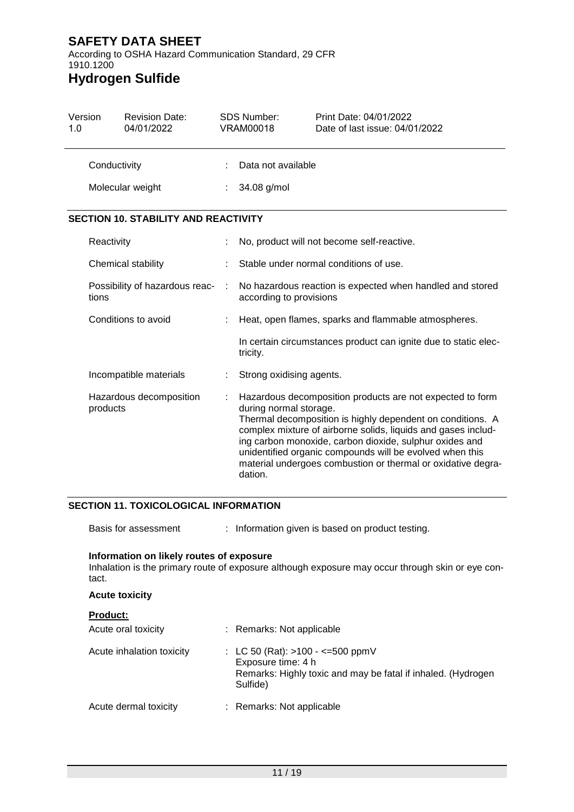According to OSHA Hazard Communication Standard, 29 CFR 1910.1200

# **Hydrogen Sulfide**

| Version<br>1.0                          |                                     | <b>Revision Date:</b><br>04/01/2022         |                                                                                      | <b>SDS Number:</b><br><b>VRAM00018</b>                          | Print Date: 04/01/2022<br>Date of last issue: 04/01/2022                                                                |
|-----------------------------------------|-------------------------------------|---------------------------------------------|--------------------------------------------------------------------------------------|-----------------------------------------------------------------|-------------------------------------------------------------------------------------------------------------------------|
|                                         | Conductivity                        |                                             |                                                                                      | Data not available                                              |                                                                                                                         |
|                                         |                                     | Molecular weight                            |                                                                                      | 34.08 g/mol                                                     |                                                                                                                         |
|                                         |                                     | <b>SECTION 10. STABILITY AND REACTIVITY</b> |                                                                                      |                                                                 |                                                                                                                         |
|                                         | Reactivity                          |                                             |                                                                                      | No, product will not become self-reactive.                      |                                                                                                                         |
|                                         |                                     | Chemical stability                          |                                                                                      | Stable under normal conditions of use.                          |                                                                                                                         |
| Possibility of hazardous reac-<br>tions |                                     | ÷                                           | No hazardous reaction is expected when handled and stored<br>according to provisions |                                                                 |                                                                                                                         |
|                                         | Conditions to avoid                 |                                             |                                                                                      |                                                                 | Heat, open flames, sparks and flammable atmospheres.                                                                    |
|                                         |                                     |                                             | tricity.                                                                             | In certain circumstances product can ignite due to static elec- |                                                                                                                         |
|                                         |                                     | Incompatible materials                      |                                                                                      | Strong oxidising agents.                                        |                                                                                                                         |
|                                         | Hazardous decomposition<br>products |                                             |                                                                                      | during normal storage.                                          | Hazardous decomposition products are not expected to form<br>Thermal decomposition is highly dependent on conditions. A |

complex mixture of airborne solids, liquids and gases including carbon monoxide, carbon dioxide, sulphur oxides and unidentified organic compounds will be evolved when this material undergoes combustion or thermal or oxidative degradation.

#### **SECTION 11. TOXICOLOGICAL INFORMATION**

Basis for assessment : Information given is based on product testing.

#### **Information on likely routes of exposure**

Inhalation is the primary route of exposure although exposure may occur through skin or eye contact.

#### **Acute toxicity**

| <b>Product:</b>           |                                                                                                                                        |
|---------------------------|----------------------------------------------------------------------------------------------------------------------------------------|
| Acute oral toxicity       | : Remarks: Not applicable                                                                                                              |
| Acute inhalation toxicity | : LC 50 (Rat): $>100 - \le 500$ ppmV<br>Exposure time: 4 h<br>Remarks: Highly toxic and may be fatal if inhaled. (Hydrogen<br>Sulfide) |
| Acute dermal toxicity     | : Remarks: Not applicable                                                                                                              |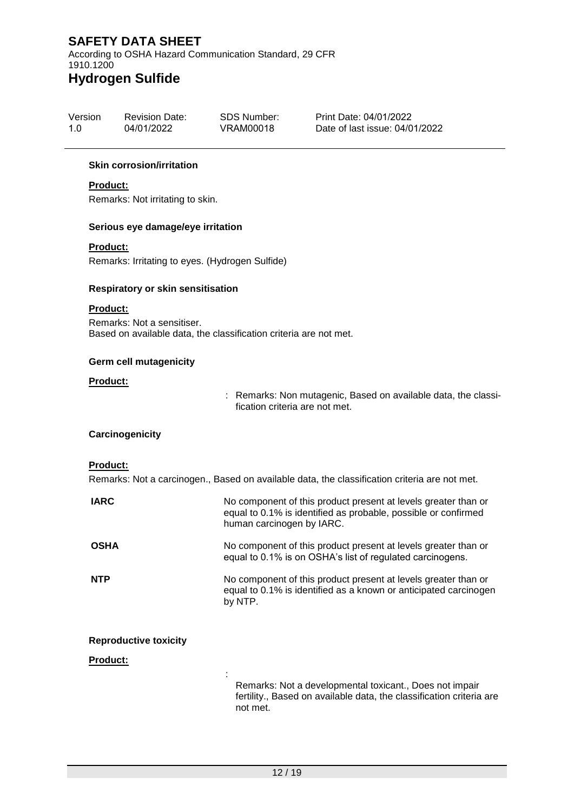According to OSHA Hazard Communication Standard, 29 CFR 1910.1200

# **Hydrogen Sulfide**

| Version | <b>Revision Date:</b> | SDS Number: | Print Date: 04/01/2022         |
|---------|-----------------------|-------------|--------------------------------|
| 1.0     | 04/01/2022            | VRAM00018   | Date of last issue: 04/01/2022 |

#### **Skin corrosion/irritation**

#### **Product:**

Remarks: Not irritating to skin.

#### **Serious eye damage/eye irritation**

#### **Product:**

Remarks: Irritating to eyes. (Hydrogen Sulfide)

#### **Respiratory or skin sensitisation**

#### **Product:**

Remarks: Not a sensitiser. Based on available data, the classification criteria are not met.

#### **Germ cell mutagenicity**

#### **Product:**

: Remarks: Non mutagenic, Based on available data, the classification criteria are not met.

#### **Carcinogenicity**

#### **Product:**

Remarks: Not a carcinogen., Based on available data, the classification criteria are not met.

| <b>IARC</b>                  | No component of this product present at levels greater than or<br>equal to 0.1% is identified as probable, possible or confirmed<br>human carcinogen by IARC. |
|------------------------------|---------------------------------------------------------------------------------------------------------------------------------------------------------------|
| <b>OSHA</b>                  | No component of this product present at levels greater than or<br>equal to 0.1% is on OSHA's list of regulated carcinogens.                                   |
| <b>NTP</b>                   | No component of this product present at levels greater than or<br>equal to 0.1% is identified as a known or anticipated carcinogen<br>by NTP.                 |
| <b>Reproductive toxicity</b> |                                                                                                                                                               |
| <b>Product:</b>              |                                                                                                                                                               |
|                              | Remarks: Not a developmental toxicant., Does not impair<br>fertility., Based on available data, the classification criteria are<br>not met.                   |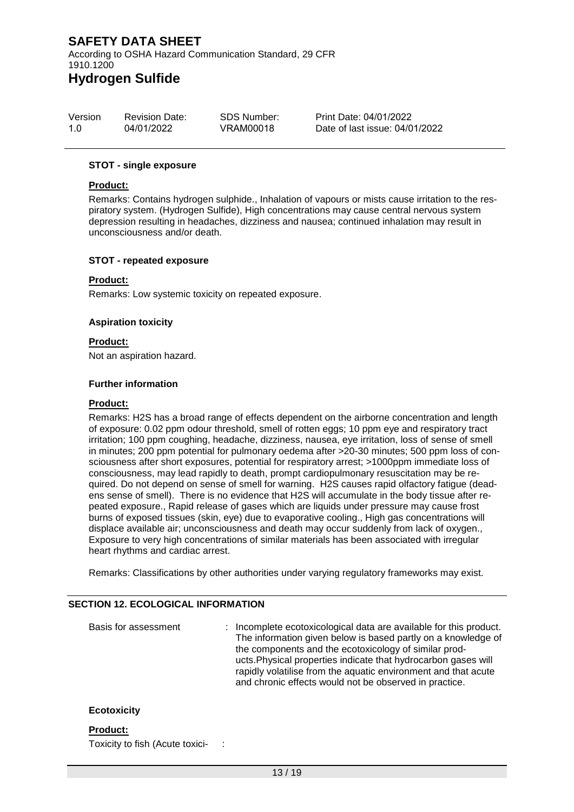According to OSHA Hazard Communication Standard, 29 CFR 1910.1200 **Hydrogen Sulfide**

#### Version 1.0 Revision Date: 04/01/2022 SDS Number: VRAM00018 Print Date: 04/01/2022 Date of last issue: 04/01/2022

#### **STOT - single exposure**

#### **Product:**

Remarks: Contains hydrogen sulphide., Inhalation of vapours or mists cause irritation to the respiratory system. (Hydrogen Sulfide), High concentrations may cause central nervous system depression resulting in headaches, dizziness and nausea; continued inhalation may result in unconsciousness and/or death.

#### **STOT - repeated exposure**

#### **Product:**

Remarks: Low systemic toxicity on repeated exposure.

#### **Aspiration toxicity**

#### **Product:**

Not an aspiration hazard.

#### **Further information**

#### **Product:**

Remarks: H2S has a broad range of effects dependent on the airborne concentration and length of exposure: 0.02 ppm odour threshold, smell of rotten eggs; 10 ppm eye and respiratory tract irritation; 100 ppm coughing, headache, dizziness, nausea, eye irritation, loss of sense of smell in minutes; 200 ppm potential for pulmonary oedema after >20-30 minutes; 500 ppm loss of consciousness after short exposures, potential for respiratory arrest; >1000ppm immediate loss of consciousness, may lead rapidly to death, prompt cardiopulmonary resuscitation may be required. Do not depend on sense of smell for warning. H2S causes rapid olfactory fatigue (deadens sense of smell). There is no evidence that H2S will accumulate in the body tissue after repeated exposure., Rapid release of gases which are liquids under pressure may cause frost burns of exposed tissues (skin, eye) due to evaporative cooling., High gas concentrations will displace available air; unconsciousness and death may occur suddenly from lack of oxygen., Exposure to very high concentrations of similar materials has been associated with irregular heart rhythms and cardiac arrest.

Remarks: Classifications by other authorities under varying regulatory frameworks may exist.

#### **SECTION 12. ECOLOGICAL INFORMATION**

Basis for assessment : Incomplete ecotoxicological data are available for this product. The information given below is based partly on a knowledge of the components and the ecotoxicology of similar products.Physical properties indicate that hydrocarbon gases will rapidly volatilise from the aquatic environment and that acute and chronic effects would not be observed in practice.

#### **Ecotoxicity**

#### **Product:**

Toxicity to fish (Acute toxici- :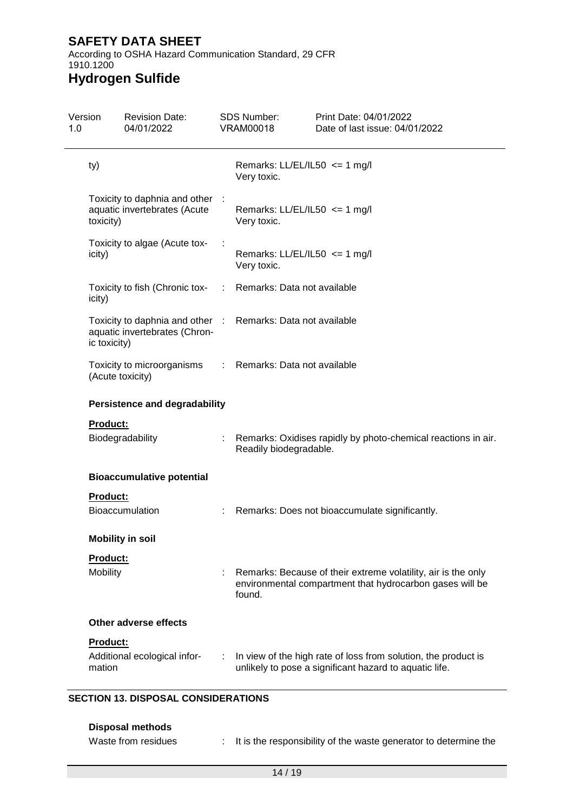According to OSHA Hazard Communication Standard, 29 CFR 1910.1200

# **Hydrogen Sulfide**

| Version         | <b>Revision Date:</b><br>04/01/2022                                                          |    | <b>SDS Number:</b><br><b>VRAM00018</b> | Print Date: 04/01/2022<br>Date of last issue: 04/01/2022                                                                  |
|-----------------|----------------------------------------------------------------------------------------------|----|----------------------------------------|---------------------------------------------------------------------------------------------------------------------------|
| ty)             |                                                                                              |    | Very toxic.                            | Remarks: $LL/EL/IL50 \leq 1$ mg/l                                                                                         |
| toxicity)       | Toxicity to daphnia and other :<br>aquatic invertebrates (Acute                              |    | Very toxic.                            | Remarks: $LL/EL/IL50 \leq 1$ mg/l                                                                                         |
| icity)          | Toxicity to algae (Acute tox-                                                                |    | Very toxic.                            | Remarks: $LL/EL/IL50 \leq 1$ mg/l                                                                                         |
| icity)          | Toxicity to fish (Chronic tox-                                                               | ÷. | Remarks: Data not available            |                                                                                                                           |
| ic toxicity)    | Toxicity to daphnia and other : Remarks: Data not available<br>aquatic invertebrates (Chron- |    |                                        |                                                                                                                           |
|                 | Toxicity to microorganisms<br>(Acute toxicity)                                               | ÷. | Remarks: Data not available            |                                                                                                                           |
|                 | <b>Persistence and degradability</b>                                                         |    |                                        |                                                                                                                           |
| <b>Product:</b> |                                                                                              |    |                                        |                                                                                                                           |
|                 | Biodegradability                                                                             |    | Readily biodegradable.                 | Remarks: Oxidises rapidly by photo-chemical reactions in air.                                                             |
|                 | <b>Bioaccumulative potential</b>                                                             |    |                                        |                                                                                                                           |
| <b>Product:</b> |                                                                                              |    |                                        |                                                                                                                           |
|                 | <b>Bioaccumulation</b>                                                                       |    |                                        | : Remarks: Does not bioaccumulate significantly.                                                                          |
|                 | <b>Mobility in soil</b>                                                                      |    |                                        |                                                                                                                           |
| Product:        |                                                                                              |    |                                        |                                                                                                                           |
| Mobility        |                                                                                              |    | found.                                 | Remarks: Because of their extreme volatility, air is the only<br>environmental compartment that hydrocarbon gases will be |
|                 | Other adverse effects                                                                        |    |                                        |                                                                                                                           |
|                 |                                                                                              |    |                                        |                                                                                                                           |
| Product:        |                                                                                              |    |                                        |                                                                                                                           |

#### **Disposal methods**

| Waste from residues | It is the responsibility of the waste generator to determine the |
|---------------------|------------------------------------------------------------------|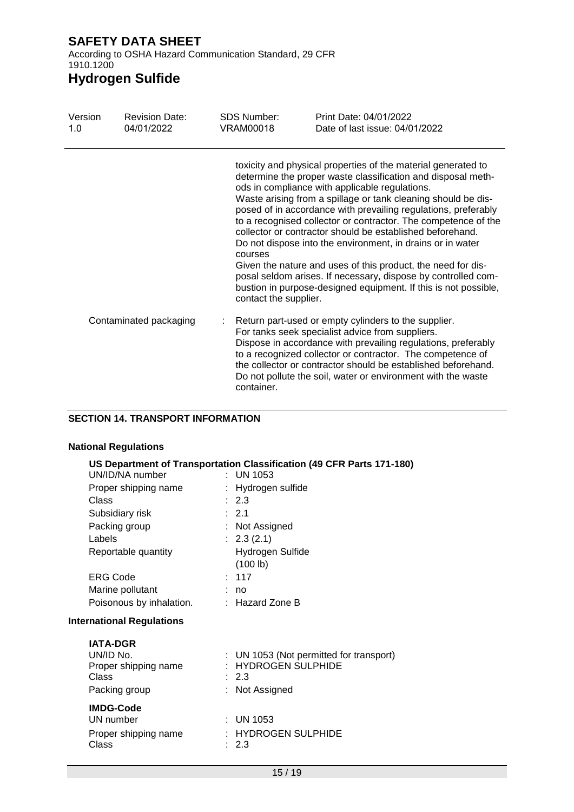According to OSHA Hazard Communication Standard, 29 CFR 1910.1200

# **Hydrogen Sulfide**

| Version<br>1.0         | <b>Revision Date:</b><br>04/01/2022 | <b>SDS Number:</b><br><b>VRAM00018</b> | Print Date: 04/01/2022<br>Date of last issue: 04/01/2022                                                                                                                                                                                                                                                                                                                                                                                                                                                                                                                                                                                                                                                            |
|------------------------|-------------------------------------|----------------------------------------|---------------------------------------------------------------------------------------------------------------------------------------------------------------------------------------------------------------------------------------------------------------------------------------------------------------------------------------------------------------------------------------------------------------------------------------------------------------------------------------------------------------------------------------------------------------------------------------------------------------------------------------------------------------------------------------------------------------------|
|                        |                                     | courses<br>contact the supplier.       | toxicity and physical properties of the material generated to<br>determine the proper waste classification and disposal meth-<br>ods in compliance with applicable regulations.<br>Waste arising from a spillage or tank cleaning should be dis-<br>posed of in accordance with prevailing regulations, preferably<br>to a recognised collector or contractor. The competence of the<br>collector or contractor should be established beforehand.<br>Do not dispose into the environment, in drains or in water<br>Given the nature and uses of this product, the need for dis-<br>posal seldom arises. If necessary, dispose by controlled com-<br>bustion in purpose-designed equipment. If this is not possible, |
| Contaminated packaging |                                     | container.                             | Return part-used or empty cylinders to the supplier.<br>For tanks seek specialist advice from suppliers.<br>Dispose in accordance with prevailing regulations, preferably<br>to a recognized collector or contractor. The competence of<br>the collector or contractor should be established beforehand.<br>Do not pollute the soil, water or environment with the waste                                                                                                                                                                                                                                                                                                                                            |

#### **SECTION 14. TRANSPORT INFORMATION**

#### **National Regulations**

|                                                                                | US Department of Transportation Classification (49 CFR Parts 171-180)                   |
|--------------------------------------------------------------------------------|-----------------------------------------------------------------------------------------|
| UN/ID/NA number                                                                | $:$ UN 1053                                                                             |
| Proper shipping name                                                           | : Hydrogen sulfide                                                                      |
| Class                                                                          | : 2.3                                                                                   |
| Subsidiary risk                                                                | : 2.1                                                                                   |
| Packing group                                                                  | : Not Assigned                                                                          |
| Labels                                                                         | : 2.3(2.1)                                                                              |
| Reportable quantity                                                            | Hydrogen Sulfide                                                                        |
|                                                                                | (100 lb)                                                                                |
| <b>ERG Code</b>                                                                | : 117                                                                                   |
| Marine pollutant                                                               | no                                                                                      |
| Poisonous by inhalation.                                                       | $:$ Hazard Zone B                                                                       |
| <b>International Regulations</b>                                               |                                                                                         |
| <b>IATA-DGR</b><br>UN/ID No.<br>Proper shipping name<br>Class<br>Packing group | : UN 1053 (Not permitted for transport)<br>: HYDROGEN SULPHIDE<br>: 2.3<br>Not Assigned |
| <b>IMDG-Code</b><br>UN number<br>Proper shipping name<br>Class                 | $:$ UN 1053<br>$:$ HYDROGEN SULPHIDE<br>: 2.3                                           |
|                                                                                |                                                                                         |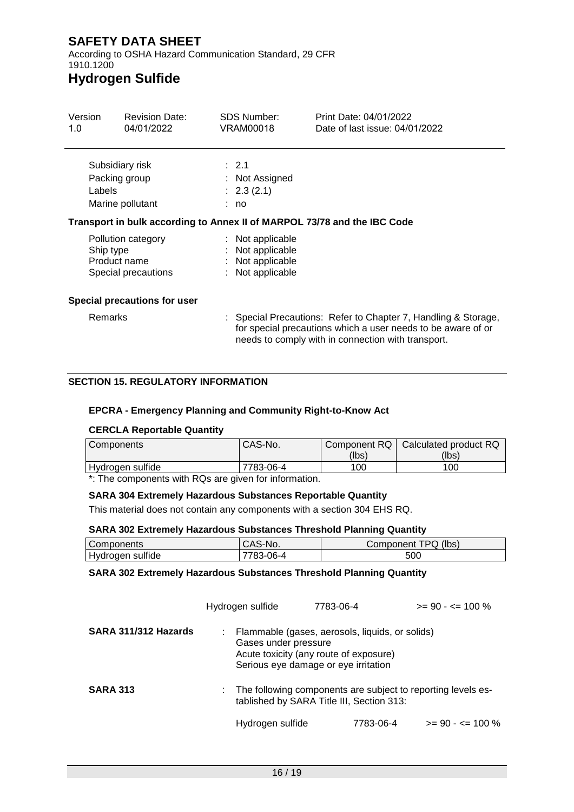According to OSHA Hazard Communication Standard, 29 CFR 1910.1200

# **Hydrogen Sulfide**

| Version<br>1.0 | <b>Revision Date:</b><br>04/01/2022                       | SDS Number:<br>VRAM00018                                                     | Print Date: 04/01/2022<br>Date of last issue: 04/01/2022                                                                       |
|----------------|-----------------------------------------------------------|------------------------------------------------------------------------------|--------------------------------------------------------------------------------------------------------------------------------|
| Labels         | Subsidiary risk<br>Packing group<br>Marine pollutant      | $\therefore$ 2.1<br>: Not Assigned<br>: 2.3(2.1)<br>: no                     |                                                                                                                                |
|                |                                                           |                                                                              | Transport in bulk according to Annex II of MARPOL 73/78 and the IBC Code                                                       |
| Ship type      | Pollution category<br>Product name<br>Special precautions | : Not applicable<br>: Not applicable<br>: Not applicable<br>: Not applicable |                                                                                                                                |
|                | Special precautions for user                              |                                                                              |                                                                                                                                |
| <b>Remarks</b> |                                                           |                                                                              | : Special Precautions: Refer to Chapter 7, Handling & Storage,<br>for special precautions which a user needs to be aware of or |

### **SECTION 15. REGULATORY INFORMATION**

#### **EPCRA - Emergency Planning and Community Right-to-Know Act**

#### **CERCLA Reportable Quantity**

| Components       | CAS-No.   |       | Component RQ   Calculated product RQ |
|------------------|-----------|-------|--------------------------------------|
|                  |           | (lbs) | (lbs)                                |
| Hydrogen sulfide | 7783-06-4 | 100   | 100                                  |

needs to comply with in connection with transport.

\*: The components with RQs are given for information.

#### **SARA 304 Extremely Hazardous Substances Reportable Quantity**

This material does not contain any components with a section 304 EHS RQ.

#### **SARA 302 Extremely Hazardous Substances Threshold Planning Quantity**

| Components               | ⊡N∪.<br>. .<br>ບ⊓ບ | (lbs)<br>TPQ <sub>1</sub> .<br>√omponent∪ |
|--------------------------|--------------------|-------------------------------------------|
| .<br>Hydrogen<br>sulfide | ി6-പ<br>u.         | 500                                       |

#### **SARA 302 Extremely Hazardous Substances Threshold Planning Quantity**

|                      | Hydrogen sulfide | 7783-06-4                                                                                                                                                 | $>= 90 - 5 = 100 \%$ |
|----------------------|------------------|-----------------------------------------------------------------------------------------------------------------------------------------------------------|----------------------|
| SARA 311/312 Hazards |                  | Flammable (gases, aerosols, liquids, or solids)<br>Gases under pressure<br>Acute toxicity (any route of exposure)<br>Serious eye damage or eye irritation |                      |
| <b>SARA 313</b>      |                  | The following components are subject to reporting levels es-<br>tablished by SARA Title III, Section 313:                                                 |                      |
|                      | Hydrogen sulfide | 7783-06-4                                                                                                                                                 | $>= 90 - \le 100 \%$ |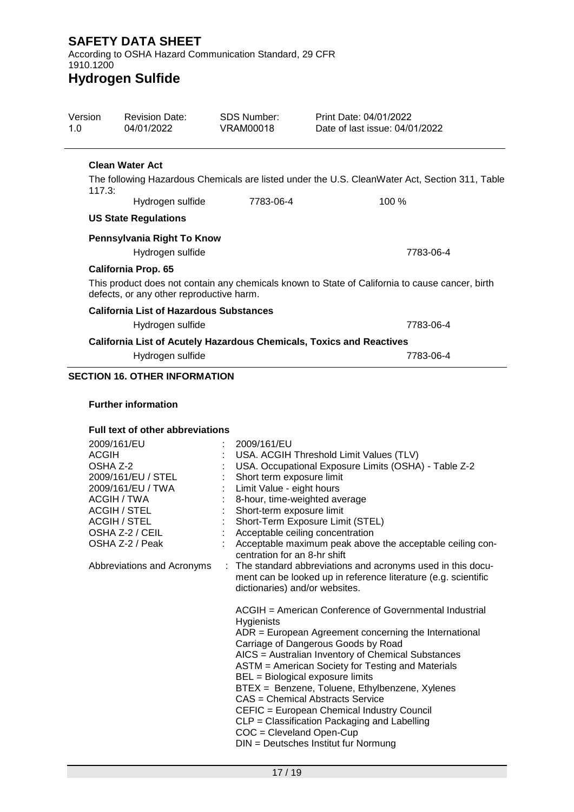According to OSHA Hazard Communication Standard, 29 CFR 1910.1200

# **Hydrogen Sulfide**

| Version<br>1.0 | <b>Revision Date:</b><br>04/01/2022            | <b>SDS Number:</b><br>VRAM00018 | Print Date: 04/01/2022<br>Date of last issue: 04/01/2022                                        |
|----------------|------------------------------------------------|---------------------------------|-------------------------------------------------------------------------------------------------|
|                | <b>Clean Water Act</b>                         |                                 |                                                                                                 |
| 117.3:         |                                                |                                 | The following Hazardous Chemicals are listed under the U.S. CleanWater Act, Section 311, Table  |
|                | Hydrogen sulfide                               | 7783-06-4                       | 100 %                                                                                           |
|                | <b>US State Regulations</b>                    |                                 |                                                                                                 |
|                | Pennsylvania Right To Know                     |                                 |                                                                                                 |
|                | Hydrogen sulfide                               |                                 | 7783-06-4                                                                                       |
|                | <b>California Prop. 65</b>                     |                                 |                                                                                                 |
|                | defects, or any other reproductive harm.       |                                 | This product does not contain any chemicals known to State of California to cause cancer, birth |
|                | <b>California List of Hazardous Substances</b> |                                 |                                                                                                 |
|                | Hydrogen sulfide                               |                                 | 7783-06-4                                                                                       |
|                |                                                |                                 | <b>California List of Acutely Hazardous Chemicals, Toxics and Reactives</b>                     |
|                | Hydrogen sulfide                               |                                 | 7783-06-4                                                                                       |
|                | <b>SECTION 16. OTHER INFORMATION</b>           |                                 |                                                                                                 |
|                |                                                |                                 |                                                                                                 |
|                | <b>Further information</b>                     |                                 |                                                                                                 |

#### **Full text of other abbreviations**

| 2009/161/EU                |                | 2009/161/EU                                                                                      |
|----------------------------|----------------|--------------------------------------------------------------------------------------------------|
| <b>ACGIH</b>               |                | USA. ACGIH Threshold Limit Values (TLV)                                                          |
| OSHA Z-2                   |                | USA. Occupational Exposure Limits (OSHA) - Table Z-2                                             |
| 2009/161/EU / STEL         |                | Short term exposure limit                                                                        |
| 2009/161/EU / TWA          |                | Limit Value - eight hours                                                                        |
| ACGIH / TWA                |                | 8-hour, time-weighted average                                                                    |
| <b>ACGIH / STEL</b>        |                | Short-term exposure limit                                                                        |
| <b>ACGIH / STEL</b>        |                | Short-Term Exposure Limit (STEL)                                                                 |
| OSHA Z-2 / CEIL            | $\mathbb{R}^n$ | Acceptable ceiling concentration                                                                 |
| OSHA Z-2 / Peak            |                | Acceptable maximum peak above the acceptable ceiling con-<br>centration for an 8-hr shift        |
| Abbreviations and Acronyms |                | : The standard abbreviations and acronyms used in this docu-                                     |
|                            |                | ment can be looked up in reference literature (e.g. scientific<br>dictionaries) and/or websites. |
|                            |                | ACGIH = American Conference of Governmental Industrial<br><b>Hygienists</b>                      |
|                            |                | $ADR = European Agreement concerning the International$                                          |
|                            |                | Carriage of Dangerous Goods by Road                                                              |
|                            |                | AICS = Australian Inventory of Chemical Substances                                               |
|                            |                | ASTM = American Society for Testing and Materials                                                |
|                            |                | BEL = Biological exposure limits                                                                 |
|                            |                | BTEX = Benzene, Toluene, Ethylbenzene, Xylenes<br>CAS = Chemical Abstracts Service               |
|                            |                | CEFIC = European Chemical Industry Council                                                       |
|                            |                | CLP = Classification Packaging and Labelling                                                     |
|                            |                | $COC = Cleveland Open-Cup$                                                                       |
|                            |                | DIN = Deutsches Institut fur Normung                                                             |
|                            |                |                                                                                                  |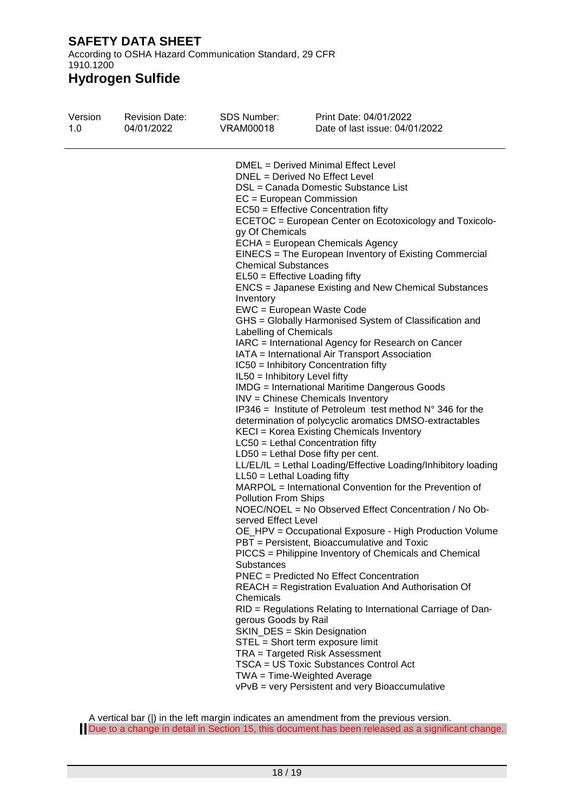According to OSHA Hazard Communication Standard, 29 CFR 1910.1200

| Version | <b>Revision Date:</b> | <b>SDS Number:</b>                                                                                                                                                                                                                                                                            | Print Date: 04/01/2022                                                                                                                                                                                                                                                                                                                                                                                                                                                                                                                                                                                                                                                                                                                                                                                                                                                                                                                                                                                                                                                                                                                                                                                                                                                                                                                                                                                                                                                                                                                                                                                                                                                                                                                                                        |
|---------|-----------------------|-----------------------------------------------------------------------------------------------------------------------------------------------------------------------------------------------------------------------------------------------------------------------------------------------|-------------------------------------------------------------------------------------------------------------------------------------------------------------------------------------------------------------------------------------------------------------------------------------------------------------------------------------------------------------------------------------------------------------------------------------------------------------------------------------------------------------------------------------------------------------------------------------------------------------------------------------------------------------------------------------------------------------------------------------------------------------------------------------------------------------------------------------------------------------------------------------------------------------------------------------------------------------------------------------------------------------------------------------------------------------------------------------------------------------------------------------------------------------------------------------------------------------------------------------------------------------------------------------------------------------------------------------------------------------------------------------------------------------------------------------------------------------------------------------------------------------------------------------------------------------------------------------------------------------------------------------------------------------------------------------------------------------------------------------------------------------------------------|
| 1.0     | 04/01/2022            | VRAM00018                                                                                                                                                                                                                                                                                     | Date of last issue: 04/01/2022                                                                                                                                                                                                                                                                                                                                                                                                                                                                                                                                                                                                                                                                                                                                                                                                                                                                                                                                                                                                                                                                                                                                                                                                                                                                                                                                                                                                                                                                                                                                                                                                                                                                                                                                                |
|         |                       | $EC = European Commission$<br>gy Of Chemicals<br><b>Chemical Substances</b><br>Inventory<br>Labelling of Chemicals<br>IL50 = Inhibitory Level fifty<br>$LL50 = Lethal$ Loading fifty<br><b>Pollution From Ships</b><br>served Effect Level<br>Substances<br>Chemicals<br>gerous Goods by Rail | DMEL = Derived Minimal Effect Level<br>DNEL = Derived No Effect Level<br>DSL = Canada Domestic Substance List<br>EC50 = Effective Concentration fifty<br>ECETOC = European Center on Ecotoxicology and Toxicolo-<br>ECHA = European Chemicals Agency<br>EINECS = The European Inventory of Existing Commercial<br>$EL50 =$ Effective Loading fifty<br>ENCS = Japanese Existing and New Chemical Substances<br>EWC = European Waste Code<br>GHS = Globally Harmonised System of Classification and<br>IARC = International Agency for Research on Cancer<br>IATA = International Air Transport Association<br>IC50 = Inhibitory Concentration fifty<br><b>IMDG</b> = International Maritime Dangerous Goods<br>INV = Chinese Chemicals Inventory<br>$IP346$ = Institute of Petroleum test method $N^{\circ}$ 346 for the<br>determination of polycyclic aromatics DMSO-extractables<br>KECI = Korea Existing Chemicals Inventory<br>LC50 = Lethal Concentration fifty<br>$LD50 = Lethal Does fifty per cent.$<br>LL/EL/IL = Lethal Loading/Effective Loading/Inhibitory loading<br>MARPOL = International Convention for the Prevention of<br>NOEC/NOEL = No Observed Effect Concentration / No Ob-<br>OE_HPV = Occupational Exposure - High Production Volume<br>PBT = Persistent, Bioaccumulative and Toxic<br>PICCS = Philippine Inventory of Chemicals and Chemical<br>PNEC = Predicted No Effect Concentration<br>REACH = Registration Evaluation And Authorisation Of<br>RID = Regulations Relating to International Carriage of Dan-<br>SKIN_DES = Skin Designation<br>STEL = Short term exposure limit<br>TRA = Targeted Risk Assessment<br>TSCA = US Toxic Substances Control Act<br>$TWA = Time-Weighted Average$<br>vPvB = very Persistent and very Bioaccumulative |